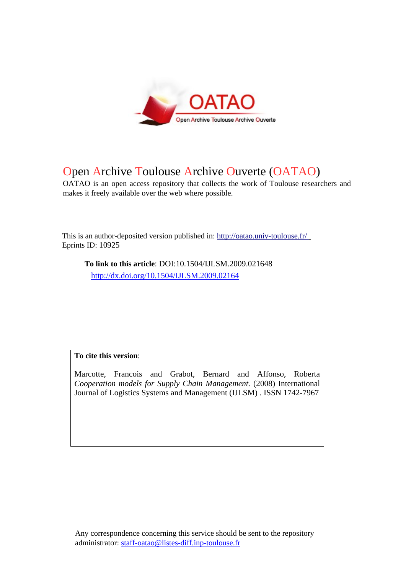

# Open Archive Toulouse Archive Ouverte (OATAO)

OATAO is an open access repository that collects the work of Toulouse researchers and makes it freely available over the web where possible.

This is an author-deposited version published in: http://oatao.univ-toulouse.fr/ Eprints ID: 10925

**To link to this article**: DOI:10.1504/IJLSM.2009.021648 http://dx.doi.org/10.1504/IJLSM.2009.02164

**To cite this version**:

Marcotte, Francois and Grabot, Bernard and Affonso, Roberta *Cooperation models for Supply Chain Management.* (2008) International Journal of Logistics Systems and Management (IJLSM) . ISSN 1742-7967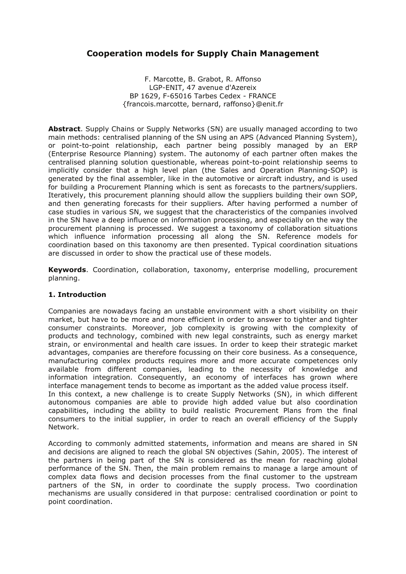## **Cooperation models for Supply Chain Management**

F. Marcotte, B. Grabot, R. Affonso LGP-ENIT, 47 avenue d'Azereix BP 1629, F-65016 Tarbes Cedex - FRANCE {francois.marcotte, bernard, raffonso}@enit.fr

**Abstract**. Supply Chains or Supply Networks (SN) are usually managed according to two main methods: centralised planning of the SN using an APS (Advanced Planning System), or point-to-point relationship, each partner being possibly managed by an ERP (Enterprise Resource Planning) system. The autonomy of each partner often makes the centralised planning solution questionable, whereas point-to-point relationship seems to implicitly consider that a high level plan (the Sales and Operation Planning-SOP) is generated by the final assembler, like in the automotive or aircraft industry, and is used for building a Procurement Planning which is sent as forecasts to the partners/suppliers. Iteratively, this procurement planning should allow the suppliers building their own SOP, and then generating forecasts for their suppliers. After having performed a number of case studies in various SN, we suggest that the characteristics of the companies involved in the SN have a deep influence on information processing, and especially on the way the procurement planning is processed. We suggest a taxonomy of collaboration situations which influence information processing all along the SN. Reference models for coordination based on this taxonomy are then presented. Typical coordination situations are discussed in order to show the practical use of these models.

**Keywords**. Coordination, collaboration, taxonomy, enterprise modelling, procurement planning.

## **1. Introduction**

Companies are nowadays facing an unstable environment with a short visibility on their market, but have to be more and more efficient in order to answer to tighter and tighter consumer constraints. Moreover, job complexity is growing with the complexity of products and technology, combined with new legal constraints, such as energy market strain, or environmental and health care issues. In order to keep their strategic market advantages, companies are therefore focussing on their core business. As a consequence, manufacturing complex products requires more and more accurate competences only available from different companies, leading to the necessity of knowledge and information integration. Consequently, an economy of interfaces has grown where interface management tends to become as important as the added value process itself. In this context, a new challenge is to create Supply Networks (SN), in which different autonomous companies are able to provide high added value but also coordination capabilities, including the ability to build realistic Procurement Plans from the final consumers to the initial supplier, in order to reach an overall efficiency of the Supply Network.

According to commonly admitted statements, information and means are shared in SN and decisions are aligned to reach the global SN objectives (Sahin, 2005). The interest of the partners in being part of the SN is considered as the mean for reaching global performance of the SN. Then, the main problem remains to manage a large amount of complex data flows and decision processes from the final customer to the upstream partners of the SN, in order to coordinate the supply process. Two coordination mechanisms are usually considered in that purpose: centralised coordination or point to point coordination.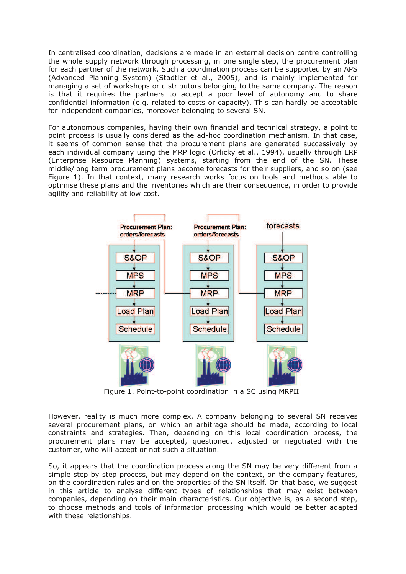In centralised coordination, decisions are made in an external decision centre controlling the whole supply network through processing, in one single step, the procurement plan for each partner of the network. Such a coordination process can be supported by an APS (Advanced Planning System) (Stadtler et al., 2005), and is mainly implemented for managing a set of workshops or distributors belonging to the same company. The reason is that it requires the partners to accept a poor level of autonomy and to share confidential information (e.g. related to costs or capacity). This can hardly be acceptable for independent companies, moreover belonging to several SN.

For autonomous companies, having their own financial and technical strategy, a point to point process is usually considered as the ad-hoc coordination mechanism. In that case, it seems of common sense that the procurement plans are generated successively by each individual company using the MRP logic (Orlicky et al., 1994), usually through ERP (Enterprise Resource Planning) systems, starting from the end of the SN. These middle/long term procurement plans become forecasts for their suppliers, and so on (see Figure 1). In that context, many research works focus on tools and methods able to optimise these plans and the inventories which are their consequence, in order to provide agility and reliability at low cost.



Figure 1. Point-to-point coordination in a SC using MRPII

However, reality is much more complex. A company belonging to several SN receives several procurement plans, on which an arbitrage should be made, according to local constraints and strategies. Then, depending on this local coordination process, the procurement plans may be accepted, questioned, adjusted or negotiated with the customer, who will accept or not such a situation.

So, it appears that the coordination process along the SN may be very different from a simple step by step process, but may depend on the context, on the company features, on the coordination rules and on the properties of the SN itself. On that base, we suggest in this article to analyse different types of relationships that may exist between companies, depending on their main characteristics. Our objective is, as a second step, to choose methods and tools of information processing which would be better adapted with these relationships.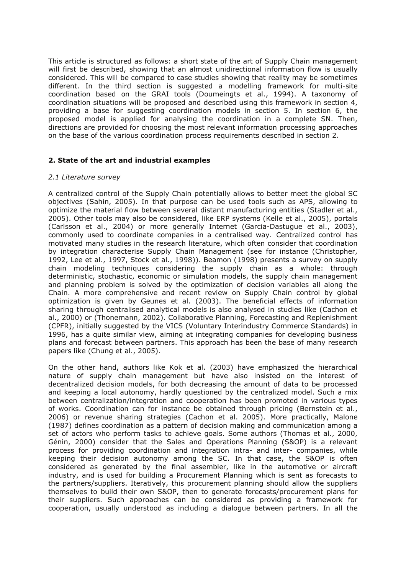This article is structured as follows: a short state of the art of Supply Chain management will first be described, showing that an almost unidirectional information flow is usually considered. This will be compared to case studies showing that reality may be sometimes different. In the third section is suggested a modelling framework for multi-site coordination based on the GRAI tools (Doumeingts et al., 1994). A taxonomy of coordination situations will be proposed and described using this framework in section 4, providing a base for suggesting coordination models in section 5. In section 6, the proposed model is applied for analysing the coordination in a complete SN. Then, directions are provided for choosing the most relevant information processing approaches on the base of the various coordination process requirements described in section 2.

## **2. State of the art and industrial examples**

#### *2.1 Literature survey*

A centralized control of the Supply Chain potentially allows to better meet the global SC objectives (Sahin, 2005). In that purpose can be used tools such as APS, allowing to optimize the material flow between several distant manufacturing entities (Stadler et al., 2005). Other tools may also be considered, like ERP systems (Kelle et al., 2005), portals (Carlsson et al., 2004) or more generally Internet (Garcia-Dastugue et al., 2003), commonly used to coordinate companies in a centralised way. Centralized control has motivated many studies in the research literature, which often consider that coordination by integration characterise Supply Chain Management (see for instance (Christopher, 1992, Lee et al., 1997, Stock et al., 1998)). Beamon (1998) presents a survey on supply chain modeling techniques considering the supply chain as a whole: through deterministic, stochastic, economic or simulation models, the supply chain management and planning problem is solved by the optimization of decision variables all along the Chain. A more comprehensive and recent review on Supply Chain control by global optimization is given by Geunes et al. (2003). The beneficial effects of information sharing through centralised analytical models is also analysed in studies like (Cachon et al., 2000) or (Thonemann, 2002). Collaborative Planning, Forecasting and Replenishment (CPFR), initially suggested by the VICS (Voluntary Interindustry Commerce Standards) in 1996, has a quite similar view, aiming at integrating companies for developing business plans and forecast between partners. This approach has been the base of many research papers like (Chung et al., 2005).

On the other hand, authors like Kok et al. (2003) have emphasized the hierarchical nature of supply chain management but have also insisted on the interest of decentralized decision models, for both decreasing the amount of data to be processed and keeping a local autonomy, hardly questioned by the centralized model. Such a mix between centralization/integration and cooperation has been promoted in various types of works. Coordination can for instance be obtained through pricing (Bernstein et al., 2006) or revenue sharing strategies (Cachon et al. 2005). More practically, Malone (1987) defines coordination as a pattern of decision making and communication among a set of actors who perform tasks to achieve goals. Some authors (Thomas et al., 2000, Génin, 2000) consider that the Sales and Operations Planning (S&OP) is a relevant process for providing coordination and integration intra- and inter- companies, while keeping their decision autonomy among the SC. In that case, the S&OP is often considered as generated by the final assembler, like in the automotive or aircraft industry, and is used for building a Procurement Planning which is sent as forecasts to the partners/suppliers. Iteratively, this procurement planning should allow the suppliers themselves to build their own S&OP, then to generate forecasts/procurement plans for their suppliers. Such approaches can be considered as providing a framework for cooperation, usually understood as including a dialogue between partners. In all the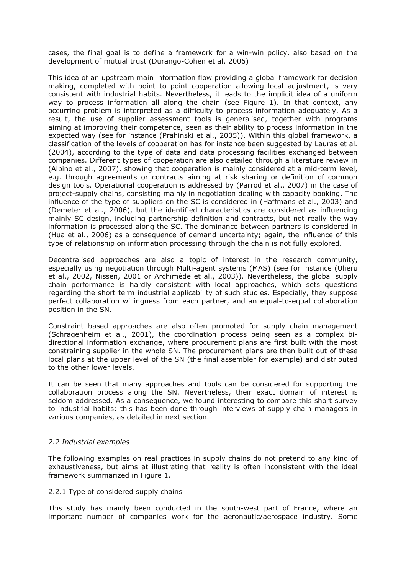cases, the final goal is to define a framework for a win-win policy, also based on the development of mutual trust (Durango-Cohen et al. 2006)

This idea of an upstream main information flow providing a global framework for decision making, completed with point to point cooperation allowing local adjustment, is very consistent with industrial habits. Nevertheless, it leads to the implicit idea of a uniform way to process information all along the chain (see Figure 1). In that context, any occurring problem is interpreted as a difficulty to process information adequately. As a result, the use of supplier assessment tools is generalised, together with programs aiming at improving their competence, seen as their ability to process information in the expected way (see for instance (Prahinski et al., 2005)). Within this global framework, a classification of the levels of cooperation has for instance been suggested by Lauras et al*.* (2004), according to the type of data and data processing facilities exchanged between companies. Different types of cooperation are also detailed through a literature review in (Albino et al., 2007), showing that cooperation is mainly considered at a mid-term level, e.g. through agreements or contracts aiming at risk sharing or definition of common design tools. Operational cooperation is addressed by (Parrod et al., 2007) in the case of project-supply chains, consisting mainly in negotiation dealing with capacity booking. The influence of the type of suppliers on the SC is considered in (Haffmans et al., 2003) and (Demeter et al., 2006), but the identified characteristics are considered as influencing mainly SC design, including partnership definition and contracts, but not really the way information is processed along the SC. The dominance between partners is considered in (Hua et al., 2006) as a consequence of demand uncertainty; again, the influence of this type of relationship on information processing through the chain is not fully explored.

Decentralised approaches are also a topic of interest in the research community, especially using negotiation through Multi-agent systems (MAS) (see for instance (Ulieru et al., 2002, Nissen, 2001 or Archimède et al., 2003)). Nevertheless, the global supply chain performance is hardly consistent with local approaches, which sets questions regarding the short term industrial applicability of such studies. Especially, they suppose perfect collaboration willingness from each partner, and an equal-to-equal collaboration position in the SN.

Constraint based approaches are also often promoted for supply chain management (Schragenheim et al., 2001), the coordination process being seen as a complex bidirectional information exchange, where procurement plans are first built with the most constraining supplier in the whole SN. The procurement plans are then built out of these local plans at the upper level of the SN (the final assembler for example) and distributed to the other lower levels.

It can be seen that many approaches and tools can be considered for supporting the collaboration process along the SN. Nevertheless, their exact domain of interest is seldom addressed. As a consequence, we found interesting to compare this short survey to industrial habits: this has been done through interviews of supply chain managers in various companies, as detailed in next section.

#### *2.2 Industrial examples*

The following examples on real practices in supply chains do not pretend to any kind of exhaustiveness, but aims at illustrating that reality is often inconsistent with the ideal framework summarized in Figure 1.

#### 2.2.1 Type of considered supply chains

This study has mainly been conducted in the south-west part of France, where an important number of companies work for the aeronautic/aerospace industry. Some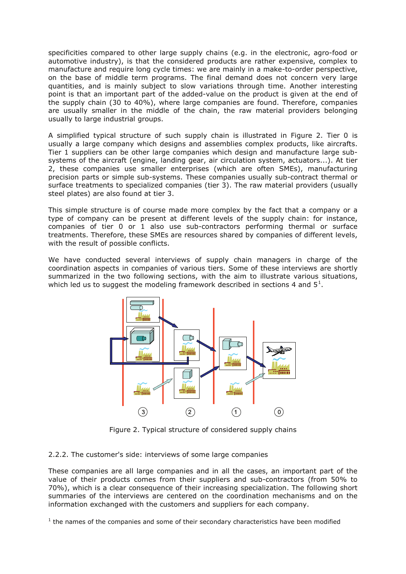specificities compared to other large supply chains (e.g. in the electronic, agro-food or automotive industry), is that the considered products are rather expensive, complex to manufacture and require long cycle times: we are mainly in a make-to-order perspective, on the base of middle term programs. The final demand does not concern very large quantities, and is mainly subject to slow variations through time. Another interesting point is that an important part of the added-value on the product is given at the end of the supply chain (30 to 40%), where large companies are found. Therefore, companies are usually smaller in the middle of the chain, the raw material providers belonging usually to large industrial groups.

A simplified typical structure of such supply chain is illustrated in Figure 2. Tier 0 is usually a large company which designs and assemblies complex products, like aircrafts. Tier 1 suppliers can be other large companies which design and manufacture large subsystems of the aircraft (engine, landing gear, air circulation system, actuators...). At tier 2, these companies use smaller enterprises (which are often SMEs), manufacturing precision parts or simple sub-systems. These companies usually sub-contract thermal or surface treatments to specialized companies (tier 3). The raw material providers (usually steel plates) are also found at tier 3.

This simple structure is of course made more complex by the fact that a company or a type of company can be present at different levels of the supply chain: for instance, companies of tier 0 or 1 also use sub-contractors performing thermal or surface treatments. Therefore, these SMEs are resources shared by companies of different levels, with the result of possible conflicts.

We have conducted several interviews of supply chain managers in charge of the coordination aspects in companies of various tiers. Some of these interviews are shortly summarized in the two following sections, with the aim to illustrate various situations, which led us to suggest the modeling framework described in sections 4 and  $5^1$ .



Figure 2. Typical structure of considered supply chains

2.2.2. The customer's side: interviews of some large companies

These companies are all large companies and in all the cases, an important part of the value of their products comes from their suppliers and sub-contractors (from 50% to 70%), which is a clear consequence of their increasing specialization. The following short summaries of the interviews are centered on the coordination mechanisms and on the information exchanged with the customers and suppliers for each company.

 $1$  the names of the companies and some of their secondary characteristics have been modified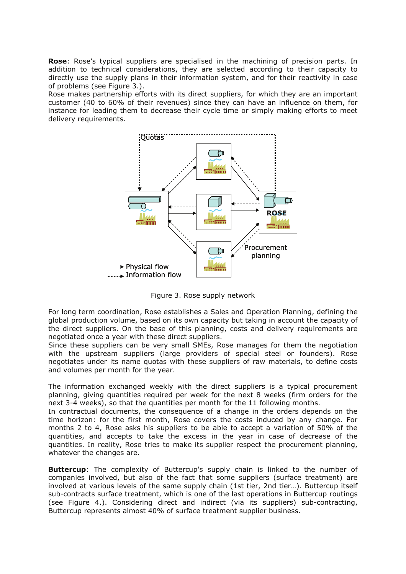**Rose**: Rose's typical suppliers are specialised in the machining of precision parts. In addition to technical considerations, they are selected according to their capacity to directly use the supply plans in their information system, and for their reactivity in case of problems (see Figure 3.).

Rose makes partnership efforts with its direct suppliers, for which they are an important customer (40 to 60% of their revenues) since they can have an influence on them, for instance for leading them to decrease their cycle time or simply making efforts to meet delivery requirements.



Figure 3. Rose supply network

For long term coordination, Rose establishes a Sales and Operation Planning, defining the global production volume, based on its own capacity but taking in account the capacity of the direct suppliers. On the base of this planning, costs and delivery requirements are negotiated once a year with these direct suppliers.

Since these suppliers can be very small SMEs, Rose manages for them the negotiation with the upstream suppliers (large providers of special steel or founders). Rose negotiates under its name quotas with these suppliers of raw materials, to define costs and volumes per month for the year.

The information exchanged weekly with the direct suppliers is a typical procurement planning, giving quantities required per week for the next 8 weeks (firm orders for the next 3-4 weeks), so that the quantities per month for the 11 following months.

In contractual documents, the consequence of a change in the orders depends on the time horizon: for the first month, Rose covers the costs induced by any change. For months 2 to 4, Rose asks his suppliers to be able to accept a variation of 50% of the quantities, and accepts to take the excess in the year in case of decrease of the quantities. In reality, Rose tries to make its supplier respect the procurement planning, whatever the changes are.

**Buttercup**: The complexity of Buttercup's supply chain is linked to the number of companies involved, but also of the fact that some suppliers (surface treatment) are involved at various levels of the same supply chain (1st tier, 2nd tier…). Buttercup itself sub-contracts surface treatment, which is one of the last operations in Buttercup routings (see Figure 4.). Considering direct and indirect (via its suppliers) sub-contracting, Buttercup represents almost 40% of surface treatment supplier business.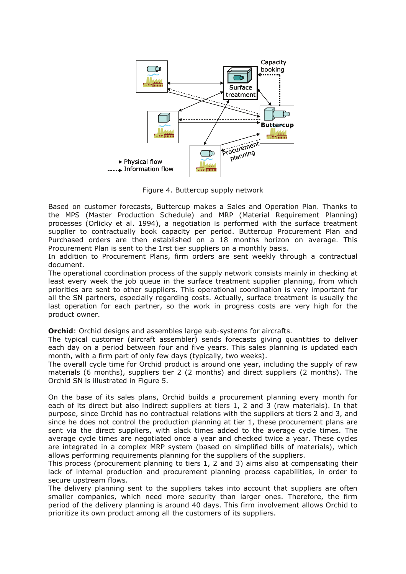

Figure 4. Buttercup supply network

Based on customer forecasts, Buttercup makes a Sales and Operation Plan. Thanks to the MPS (Master Production Schedule) and MRP (Material Requirement Planning) processes (Orlicky et al. 1994), a negotiation is performed with the surface treatment supplier to contractually book capacity per period. Buttercup Procurement Plan and Purchased orders are then established on a 18 months horizon on average. This Procurement Plan is sent to the 1rst tier suppliers on a monthly basis.

In addition to Procurement Plans, firm orders are sent weekly through a contractual document.

The operational coordination process of the supply network consists mainly in checking at least every week the job queue in the surface treatment supplier planning, from which priorities are sent to other suppliers. This operational coordination is very important for all the SN partners, especially regarding costs. Actually, surface treatment is usually the last operation for each partner, so the work in progress costs are very high for the product owner.

#### **Orchid**: Orchid designs and assembles large sub-systems for aircrafts.

The typical customer (aircraft assembler) sends forecasts giving quantities to deliver each day on a period between four and five years. This sales planning is updated each month, with a firm part of only few days (typically, two weeks).

The overall cycle time for Orchid product is around one year, including the supply of raw materials (6 months), suppliers tier 2 (2 months) and direct suppliers (2 months). The Orchid SN is illustrated in Figure 5.

On the base of its sales plans, Orchid builds a procurement planning every month for each of its direct but also indirect suppliers at tiers 1, 2 and 3 (raw materials). In that purpose, since Orchid has no contractual relations with the suppliers at tiers 2 and 3, and since he does not control the production planning at tier 1, these procurement plans are sent via the direct suppliers, with slack times added to the average cycle times. The average cycle times are negotiated once a year and checked twice a year. These cycles are integrated in a complex MRP system (based on simplified bills of materials), which allows performing requirements planning for the suppliers of the suppliers.

This process (procurement planning to tiers 1, 2 and 3) aims also at compensating their lack of internal production and procurement planning process capabilities, in order to secure upstream flows.

The delivery planning sent to the suppliers takes into account that suppliers are often smaller companies, which need more security than larger ones. Therefore, the firm period of the delivery planning is around 40 days. This firm involvement allows Orchid to prioritize its own product among all the customers of its suppliers.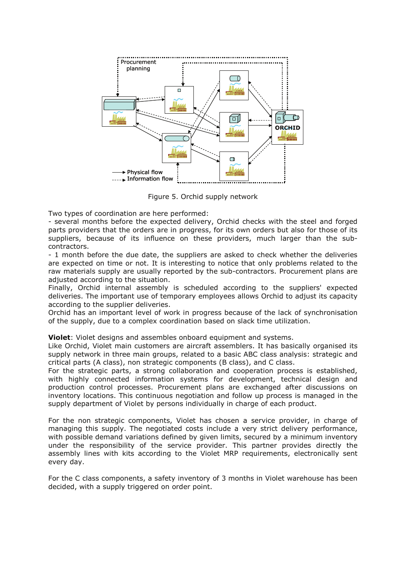

Figure 5. Orchid supply network

Two types of coordination are here performed:

- several months before the expected delivery, Orchid checks with the steel and forged parts providers that the orders are in progress, for its own orders but also for those of its suppliers, because of its influence on these providers, much larger than the subcontractors.

- 1 month before the due date, the suppliers are asked to check whether the deliveries are expected on time or not. It is interesting to notice that only problems related to the raw materials supply are usually reported by the sub-contractors. Procurement plans are adjusted according to the situation.

Finally, Orchid internal assembly is scheduled according to the suppliers' expected deliveries. The important use of temporary employees allows Orchid to adjust its capacity according to the supplier deliveries.

Orchid has an important level of work in progress because of the lack of synchronisation of the supply, due to a complex coordination based on slack time utilization.

**Violet**: Violet designs and assembles onboard equipment and systems.

Like Orchid, Violet main customers are aircraft assemblers. It has basically organised its supply network in three main groups, related to a basic ABC class analysis: strategic and critical parts (A class), non strategic components (B class), and C class.

For the strategic parts, a strong collaboration and cooperation process is established, with highly connected information systems for development, technical design and production control processes. Procurement plans are exchanged after discussions on inventory locations. This continuous negotiation and follow up process is managed in the supply department of Violet by persons individually in charge of each product.

For the non strategic components, Violet has chosen a service provider, in charge of managing this supply. The negotiated costs include a very strict delivery performance, with possible demand variations defined by given limits, secured by a minimum inventory under the responsibility of the service provider. This partner provides directly the assembly lines with kits according to the Violet MRP requirements, electronically sent every day.

For the C class components, a safety inventory of 3 months in Violet warehouse has been decided, with a supply triggered on order point.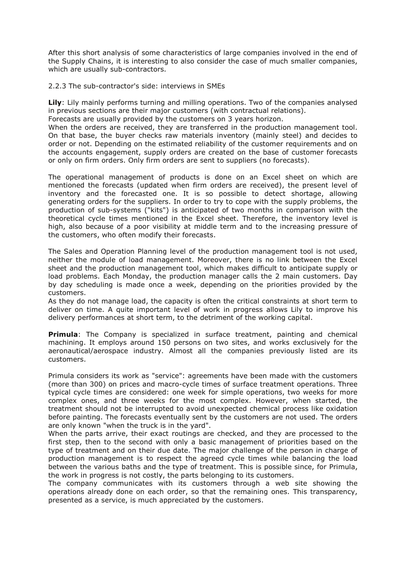After this short analysis of some characteristics of large companies involved in the end of the Supply Chains, it is interesting to also consider the case of much smaller companies, which are usually sub-contractors.

2.2.3 The sub-contractor's side: interviews in SMEs

**Lily**: Lily mainly performs turning and milling operations. Two of the companies analysed in previous sections are their major customers (with contractual relations).

Forecasts are usually provided by the customers on 3 years horizon.

When the orders are received, they are transferred in the production management tool. On that base, the buyer checks raw materials inventory (mainly steel) and decides to order or not. Depending on the estimated reliability of the customer requirements and on the accounts engagement, supply orders are created on the base of customer forecasts or only on firm orders. Only firm orders are sent to suppliers (no forecasts).

The operational management of products is done on an Excel sheet on which are mentioned the forecasts (updated when firm orders are received), the present level of inventory and the forecasted one. It is so possible to detect shortage, allowing generating orders for the suppliers. In order to try to cope with the supply problems, the production of sub-systems ("kits") is anticipated of two months in comparison with the theoretical cycle times mentioned in the Excel sheet. Therefore, the inventory level is high, also because of a poor visibility at middle term and to the increasing pressure of the customers, who often modify their forecasts.

The Sales and Operation Planning level of the production management tool is not used, neither the module of load management. Moreover, there is no link between the Excel sheet and the production management tool, which makes difficult to anticipate supply or load problems. Each Monday, the production manager calls the 2 main customers. Day by day scheduling is made once a week, depending on the priorities provided by the customers.

As they do not manage load, the capacity is often the critical constraints at short term to deliver on time. A quite important level of work in progress allows Lily to improve his delivery performances at short term, to the detriment of the working capital.

**Primula**: The Company is specialized in surface treatment, painting and chemical machining. It employs around 150 persons on two sites, and works exclusively for the aeronautical/aerospace industry. Almost all the companies previously listed are its customers.

Primula considers its work as "service": agreements have been made with the customers (more than 300) on prices and macro-cycle times of surface treatment operations. Three typical cycle times are considered: one week for simple operations, two weeks for more complex ones, and three weeks for the most complex. However, when started, the treatment should not be interrupted to avoid unexpected chemical process like oxidation before painting. The forecasts eventually sent by the customers are not used. The orders are only known "when the truck is in the yard".

When the parts arrive, their exact routings are checked, and they are processed to the first step, then to the second with only a basic management of priorities based on the type of treatment and on their due date. The major challenge of the person in charge of production management is to respect the agreed cycle times while balancing the load between the various baths and the type of treatment. This is possible since, for Primula, the work in progress is not costly, the parts belonging to its customers.

The company communicates with its customers through a web site showing the operations already done on each order, so that the remaining ones. This transparency, presented as a service, is much appreciated by the customers.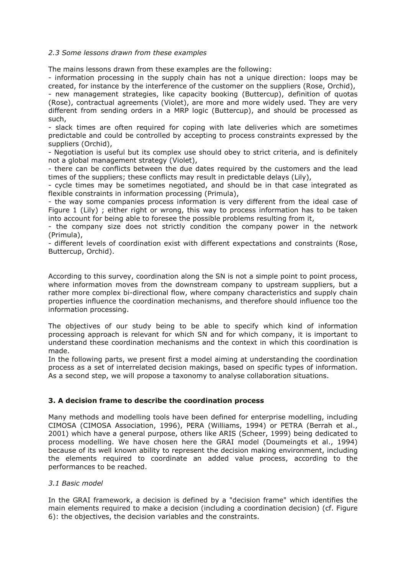#### *2.3 Some lessons drawn from these examples*

The mains lessons drawn from these examples are the following:

- information processing in the supply chain has not a unique direction: loops may be created, for instance by the interference of the customer on the suppliers (Rose, Orchid),

- new management strategies, like capacity booking (Buttercup), definition of quotas (Rose), contractual agreements (Violet), are more and more widely used. They are very different from sending orders in a MRP logic (Buttercup), and should be processed as such,

- slack times are often required for coping with late deliveries which are sometimes predictable and could be controlled by accepting to process constraints expressed by the suppliers (Orchid),

- Negotiation is useful but its complex use should obey to strict criteria, and is definitely not a global management strategy (Violet),

- there can be conflicts between the due dates required by the customers and the lead times of the suppliers; these conflicts may result in predictable delays (Lily),

- cycle times may be sometimes negotiated, and should be in that case integrated as flexible constraints in information processing (Primula),

- the way some companies process information is very different from the ideal case of Figure 1 (Lily) ; either right or wrong, this way to process information has to be taken into account for being able to foresee the possible problems resulting from it,

- the company size does not strictly condition the company power in the network (Primula),

- different levels of coordination exist with different expectations and constraints (Rose, Buttercup, Orchid).

According to this survey, coordination along the SN is not a simple point to point process, where information moves from the downstream company to upstream suppliers, but a rather more complex bi-directional flow, where company characteristics and supply chain properties influence the coordination mechanisms, and therefore should influence too the information processing.

The objectives of our study being to be able to specify which kind of information processing approach is relevant for which SN and for which company, it is important to understand these coordination mechanisms and the context in which this coordination is made.

In the following parts, we present first a model aiming at understanding the coordination process as a set of interrelated decision makings, based on specific types of information. As a second step, we will propose a taxonomy to analyse collaboration situations.

## **3. A decision frame to describe the coordination process**

Many methods and modelling tools have been defined for enterprise modelling, including CIMOSA (CIMOSA Association, 1996), PERA (Williams, 1994) or PETRA (Berrah et al., 2001) which have a general purpose, others like ARIS (Scheer, 1999) being dedicated to process modelling. We have chosen here the GRAI model (Doumeingts et al., 1994) because of its well known ability to represent the decision making environment, including the elements required to coordinate an added value process, according to the performances to be reached.

#### *3.1 Basic model*

In the GRAI framework, a decision is defined by a "decision frame" which identifies the main elements required to make a decision (including a coordination decision) (cf. Figure 6): the objectives, the decision variables and the constraints.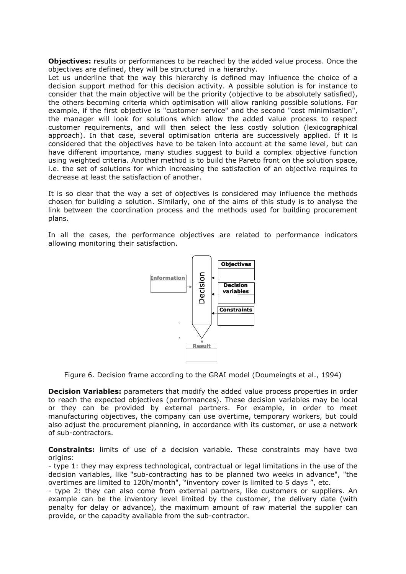**Objectives:** results or performances to be reached by the added value process. Once the objectives are defined, they will be structured in a hierarchy.

Let us underline that the way this hierarchy is defined may influence the choice of a decision support method for this decision activity. A possible solution is for instance to consider that the main objective will be the priority (objective to be absolutely satisfied), the others becoming criteria which optimisation will allow ranking possible solutions. For example, if the first objective is "customer service" and the second "cost minimisation", the manager will look for solutions which allow the added value process to respect customer requirements, and will then select the less costly solution (lexicographical approach). In that case, several optimisation criteria are successively applied. If it is considered that the objectives have to be taken into account at the same level, but can have different importance, many studies suggest to build a complex objective function using weighted criteria. Another method is to build the Pareto front on the solution space, i.e. the set of solutions for which increasing the satisfaction of an objective requires to decrease at least the satisfaction of another.

It is so clear that the way a set of objectives is considered may influence the methods chosen for building a solution. Similarly, one of the aims of this study is to analyse the link between the coordination process and the methods used for building procurement plans.

In all the cases, the performance objectives are related to performance indicators allowing monitoring their satisfaction.



Figure 6. Decision frame according to the GRAI model (Doumeingts et al., 1994)

**Decision Variables:** parameters that modify the added value process properties in order to reach the expected objectives (performances). These decision variables may be local or they can be provided by external partners. For example, in order to meet manufacturing objectives, the company can use overtime, temporary workers, but could also adjust the procurement planning, in accordance with its customer, or use a network of sub-contractors.

**Constraints:** limits of use of a decision variable. These constraints may have two origins:

- type 1: they may express technological, contractual or legal limitations in the use of the decision variables, like "sub-contracting has to be planned two weeks in advance", "the overtimes are limited to 120h/month", "inventory cover is limited to 5 days ", etc.

- type 2: they can also come from external partners, like customers or suppliers. An example can be the inventory level limited by the customer, the delivery date (with penalty for delay or advance), the maximum amount of raw material the supplier can provide, or the capacity available from the sub-contractor.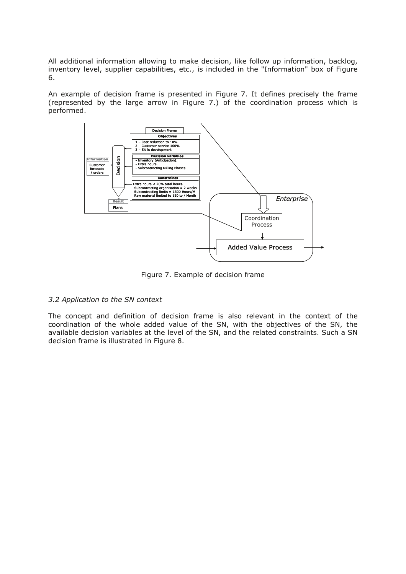All additional information allowing to make decision, like follow up information, backlog, inventory level, supplier capabilities, etc., is included in the "Information" box of Figure 6.

An example of decision frame is presented in Figure 7. It defines precisely the frame (represented by the large arrow in Figure 7.) of the coordination process which is performed.



Figure 7. Example of decision frame

## *3.2 Application to the SN context*

The concept and definition of decision frame is also relevant in the context of the coordination of the whole added value of the SN, with the objectives of the SN, the available decision variables at the level of the SN, and the related constraints. Such a SN decision frame is illustrated in Figure 8.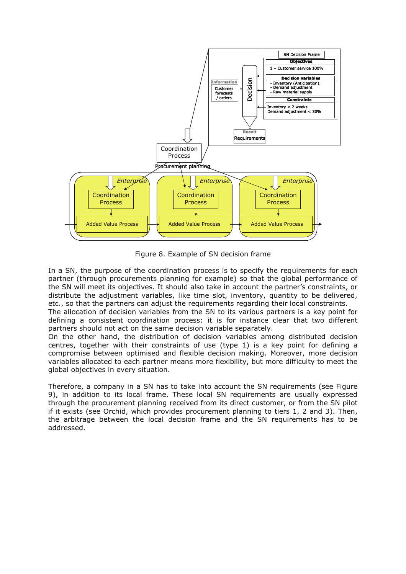

Figure 8. Example of SN decision frame

In a SN, the purpose of the coordination process is to specify the requirements for each partner (through procurements planning for example) so that the global performance of the SN will meet its objectives. It should also take in account the partner's constraints, or distribute the adjustment variables, like time slot, inventory, quantity to be delivered, etc., so that the partners can adjust the requirements regarding their local constraints. The allocation of decision variables from the SN to its various partners is a key point for defining a consistent coordination process: it is for instance clear that two different partners should not act on the same decision variable separately.

On the other hand, the distribution of decision variables among distributed decision centres, together with their constraints of use (type 1) is a key point for defining a compromise between optimised and flexible decision making. Moreover, more decision variables allocated to each partner means more flexibility, but more difficulty to meet the global objectives in every situation.

Therefore, a company in a SN has to take into account the SN requirements (see Figure 9), in addition to its local frame. These local SN requirements are usually expressed through the procurement planning received from its direct customer, or from the SN pilot if it exists (see Orchid, which provides procurement planning to tiers 1, 2 and 3). Then, the arbitrage between the local decision frame and the SN requirements has to be addressed.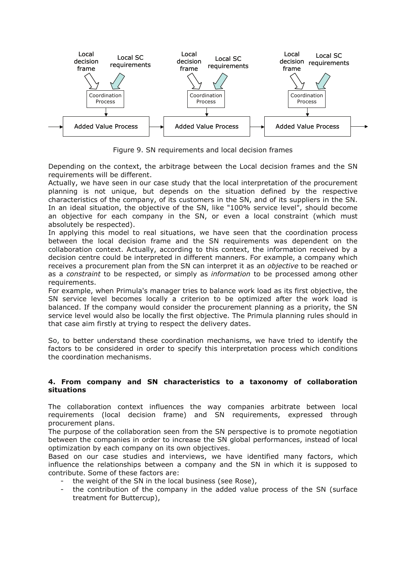

Figure 9. SN requirements and local decision frames

Depending on the context, the arbitrage between the Local decision frames and the SN requirements will be different.

Actually, we have seen in our case study that the local interpretation of the procurement planning is not unique, but depends on the situation defined by the respective characteristics of the company, of its customers in the SN, and of its suppliers in the SN. In an ideal situation, the objective of the SN, like "100% service level", should become an objective for each company in the SN, or even a local constraint (which must absolutely be respected).

In applying this model to real situations, we have seen that the coordination process between the local decision frame and the SN requirements was dependent on the collaboration context. Actually, according to this context, the information received by a decision centre could be interpreted in different manners. For example, a company which receives a procurement plan from the SN can interpret it as an *objective* to be reached or as a *constraint* to be respected, or simply as *information* to be processed among other requirements.

For example, when Primula's manager tries to balance work load as its first objective, the SN service level becomes locally a criterion to be optimized after the work load is balanced. If the company would consider the procurement planning as a priority, the SN service level would also be locally the first objective. The Primula planning rules should in that case aim firstly at trying to respect the delivery dates.

So, to better understand these coordination mechanisms, we have tried to identify the factors to be considered in order to specify this interpretation process which conditions the coordination mechanisms.

#### **4. From company and SN characteristics to a taxonomy of collaboration situations**

The collaboration context influences the way companies arbitrate between local requirements (local decision frame) and SN requirements, expressed through procurement plans.

The purpose of the collaboration seen from the SN perspective is to promote negotiation between the companies in order to increase the SN global performances, instead of local optimization by each company on its own objectives.

Based on our case studies and interviews, we have identified many factors, which influence the relationships between a company and the SN in which it is supposed to contribute. Some of these factors are:

- the weight of the SN in the local business (see Rose),
- the contribution of the company in the added value process of the SN (surface) treatment for Buttercup),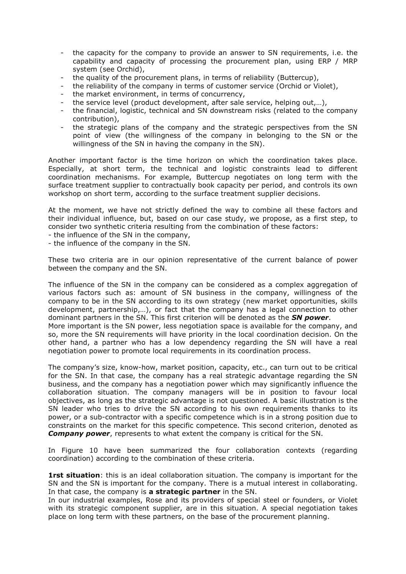- the capacity for the company to provide an answer to SN requirements, i.e. the capability and capacity of processing the procurement plan, using ERP / MRP system (see Orchid),
- the quality of the procurement plans, in terms of reliability (Buttercup),
- the reliability of the company in terms of customer service (Orchid or Violet),
- the market environment, in terms of concurrency,
- the service level (product development, after sale service, helping out,...),
- the financial, logistic, technical and SN downstream risks (related to the company contribution),
- the strategic plans of the company and the strategic perspectives from the SN point of view (the willingness of the company in belonging to the SN or the willingness of the SN in having the company in the SN).

Another important factor is the time horizon on which the coordination takes place. Especially, at short term, the technical and logistic constraints lead to different coordination mechanisms. For example, Buttercup negotiates on long term with the surface treatment supplier to contractually book capacity per period, and controls its own workshop on short term, according to the surface treatment supplier decisions.

At the moment, we have not strictly defined the way to combine all these factors and their individual influence, but, based on our case study, we propose, as a first step, to consider two synthetic criteria resulting from the combination of these factors:

- the influence of the SN in the company,
- the influence of the company in the SN.

These two criteria are in our opinion representative of the current balance of power between the company and the SN.

The influence of the SN in the company can be considered as a complex aggregation of various factors such as: amount of SN business in the company, willingness of the company to be in the SN according to its own strategy (new market opportunities, skills development, partnership,…), or fact that the company has a legal connection to other dominant partners in the SN. This first criterion will be denoted as the *SN power*.

More important is the SN power, less negotiation space is available for the company, and so, more the SN requirements will have priority in the local coordination decision. On the other hand, a partner who has a low dependency regarding the SN will have a real negotiation power to promote local requirements in its coordination process.

The company's size, know-how, market position, capacity, etc., can turn out to be critical for the SN. In that case, the company has a real strategic advantage regarding the SN business, and the company has a negotiation power which may significantly influence the collaboration situation. The company managers will be in position to favour local objectives, as long as the strategic advantage is not questioned. A basic illustration is the SN leader who tries to drive the SN according to his own requirements thanks to its power, or a sub-contractor with a specific competence which is in a strong position due to constraints on the market for this specific competence. This second criterion, denoted as **Company power**, represents to what extent the company is critical for the SN.

In Figure 10 have been summarized the four collaboration contexts (regarding coordination) according to the combination of these criteria.

**1rst situation**: this is an ideal collaboration situation. The company is important for the SN and the SN is important for the company. There is a mutual interest in collaborating. In that case, the company is **a strategic partner** in the SN.

In our industrial examples, Rose and its providers of special steel or founders, or Violet with its strategic component supplier, are in this situation. A special negotiation takes place on long term with these partners, on the base of the procurement planning.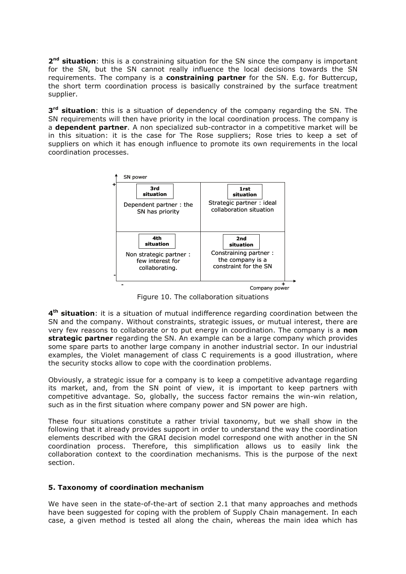2<sup>nd</sup> situation: this is a constraining situation for the SN since the company is important for the SN, but the SN cannot really influence the local decisions towards the SN requirements. The company is a **constraining partner** for the SN. E.g. for Buttercup, the short term coordination process is basically constrained by the surface treatment supplier.

**3** situation: this is a situation of dependency of the company regarding the SN. The SN requirements will then have priority in the local coordination process. The company is a **dependent partner**. A non specialized sub-contractor in a competitive market will be in this situation: it is the case for The Rose suppliers; Rose tries to keep a set of suppliers on which it has enough influence to promote its own requirements in the local coordination processes.



Figure 10. The collaboration situations

**4 th situation**: it is a situation of mutual indifference regarding coordination between the SN and the company. Without constraints, strategic issues, or mutual interest, there are very few reasons to collaborate or to put energy in coordination. The company is a **non strategic partner** regarding the SN. An example can be a large company which provides some spare parts to another large company in another industrial sector. In our industrial examples, the Violet management of class C requirements is a good illustration, where the security stocks allow to cope with the coordination problems.

Obviously, a strategic issue for a company is to keep a competitive advantage regarding its market, and, from the SN point of view, it is important to keep partners with competitive advantage. So, globally, the success factor remains the win-win relation, such as in the first situation where company power and SN power are high.

These four situations constitute a rather trivial taxonomy, but we shall show in the following that it already provides support in order to understand the way the coordination elements described with the GRAI decision model correspond one with another in the SN coordination process. Therefore, this simplification allows us to easily link the collaboration context to the coordination mechanisms. This is the purpose of the next section.

#### **5. Taxonomy of coordination mechanism**

We have seen in the state-of-the-art of section 2.1 that many approaches and methods have been suggested for coping with the problem of Supply Chain management. In each case, a given method is tested all along the chain, whereas the main idea which has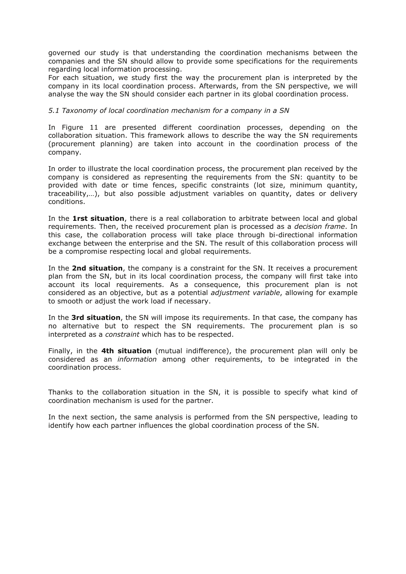governed our study is that understanding the coordination mechanisms between the companies and the SN should allow to provide some specifications for the requirements regarding local information processing.

For each situation, we study first the way the procurement plan is interpreted by the company in its local coordination process. Afterwards, from the SN perspective, we will analyse the way the SN should consider each partner in its global coordination process.

#### *5.1 Taxonomy of local coordination mechanism for a company in a SN*

In Figure 11 are presented different coordination processes, depending on the collaboration situation. This framework allows to describe the way the SN requirements (procurement planning) are taken into account in the coordination process of the company.

In order to illustrate the local coordination process, the procurement plan received by the company is considered as representing the requirements from the SN: quantity to be provided with date or time fences, specific constraints (lot size, minimum quantity, traceability,…), but also possible adjustment variables on quantity, dates or delivery conditions.

In the **1rst situation**, there is a real collaboration to arbitrate between local and global requirements. Then, the received procurement plan is processed as a *decision frame*. In this case, the collaboration process will take place through bi-directional information exchange between the enterprise and the SN. The result of this collaboration process will be a compromise respecting local and global requirements.

In the **2nd situation**, the company is a constraint for the SN. It receives a procurement plan from the SN, but in its local coordination process, the company will first take into account its local requirements. As a consequence, this procurement plan is not considered as an objective, but as a potential *adjustment variable*, allowing for example to smooth or adjust the work load if necessary.

In the **3rd situation**, the SN will impose its requirements. In that case, the company has no alternative but to respect the SN requirements. The procurement plan is so interpreted as a *constraint* which has to be respected.

Finally, in the **4th situation** (mutual indifference), the procurement plan will only be considered as an *information* among other requirements, to be integrated in the coordination process.

Thanks to the collaboration situation in the SN, it is possible to specify what kind of coordination mechanism is used for the partner.

In the next section, the same analysis is performed from the SN perspective, leading to identify how each partner influences the global coordination process of the SN.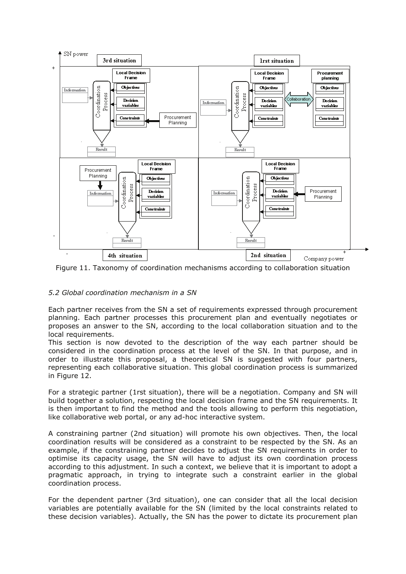

Figure 11. Taxonomy of coordination mechanisms according to collaboration situation

## *5.2 Global coordination mechanism in a SN*

Each partner receives from the SN a set of requirements expressed through procurement planning. Each partner processes this procurement plan and eventually negotiates or proposes an answer to the SN, according to the local collaboration situation and to the local requirements.

This section is now devoted to the description of the way each partner should be considered in the coordination process at the level of the SN. In that purpose, and in order to illustrate this proposal, a theoretical SN is suggested with four partners, representing each collaborative situation. This global coordination process is summarized in Figure 12.

For a strategic partner (1rst situation), there will be a negotiation. Company and SN will build together a solution, respecting the local decision frame and the SN requirements. It is then important to find the method and the tools allowing to perform this negotiation, like collaborative web portal, or any ad-hoc interactive system.

A constraining partner (2nd situation) will promote his own objectives. Then, the local coordination results will be considered as a constraint to be respected by the SN. As an example, if the constraining partner decides to adjust the SN requirements in order to optimise its capacity usage, the SN will have to adjust its own coordination process according to this adjustment. In such a context, we believe that it is important to adopt a pragmatic approach, in trying to integrate such a constraint earlier in the global coordination process.

For the dependent partner (3rd situation), one can consider that all the local decision variables are potentially available for the SN (limited by the local constraints related to these decision variables). Actually, the SN has the power to dictate its procurement plan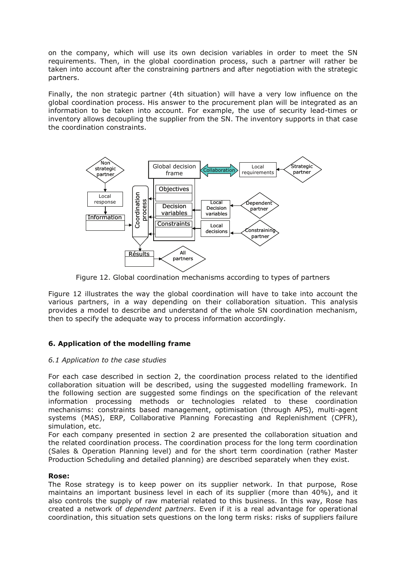on the company, which will use its own decision variables in order to meet the SN requirements. Then, in the global coordination process, such a partner will rather be taken into account after the constraining partners and after negotiation with the strategic partners.

Finally, the non strategic partner (4th situation) will have a very low influence on the global coordination process. His answer to the procurement plan will be integrated as an information to be taken into account. For example, the use of security lead-times or inventory allows decoupling the supplier from the SN. The inventory supports in that case the coordination constraints.



Figure 12. Global coordination mechanisms according to types of partners

Figure 12 illustrates the way the global coordination will have to take into account the various partners, in a way depending on their collaboration situation. This analysis provides a model to describe and understand of the whole SN coordination mechanism, then to specify the adequate way to process information accordingly.

## **6. Application of the modelling frame**

## *6.1 Application to the case studies*

For each case described in section 2, the coordination process related to the identified collaboration situation will be described, using the suggested modelling framework. In the following section are suggested some findings on the specification of the relevant information processing methods or technologies related to these coordination mechanisms: constraints based management, optimisation (through APS), multi-agent systems (MAS), ERP, Collaborative Planning Forecasting and Replenishment (CPFR), simulation, etc.

For each company presented in section 2 are presented the collaboration situation and the related coordination process. The coordination process for the long term coordination (Sales & Operation Planning level) and for the short term coordination (rather Master Production Scheduling and detailed planning) are described separately when they exist.

#### **Rose:**

The Rose strategy is to keep power on its supplier network. In that purpose, Rose maintains an important business level in each of its supplier (more than 40%), and it also controls the supply of raw material related to this business. In this way, Rose has created a network of *dependent partners*. Even if it is a real advantage for operational coordination, this situation sets questions on the long term risks: risks of suppliers failure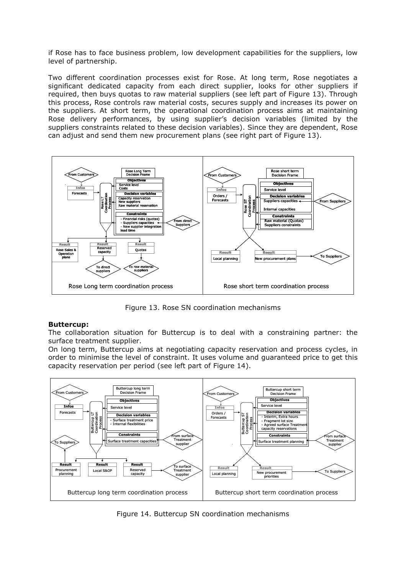if Rose has to face business problem, low development capabilities for the suppliers, low level of partnership.

Two different coordination processes exist for Rose. At long term, Rose negotiates a significant dedicated capacity from each direct supplier, looks for other suppliers if required, then buys quotas to raw material suppliers (see left part of Figure 13). Through this process, Rose controls raw material costs, secures supply and increases its power on the suppliers. At short term, the operational coordination process aims at maintaining Rose delivery performances, by using supplier's decision variables (limited by the suppliers constraints related to these decision variables). Since they are dependent, Rose can adjust and send them new procurement plans (see right part of Figure 13).



Figure 13. Rose SN coordination mechanisms

#### **Buttercup:**

The collaboration situation for Buttercup is to deal with a constraining partner: the surface treatment supplier.

On long term, Buttercup aims at negotiating capacity reservation and process cycles, in order to minimise the level of constraint. It uses volume and guaranteed price to get this capacity reservation per period (see left part of Figure 14).



Figure 14. Buttercup SN coordination mechanisms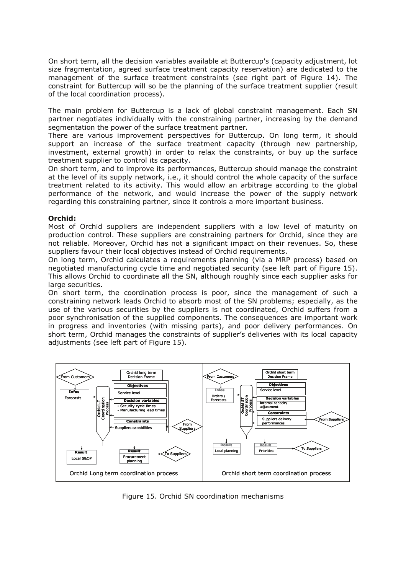On short term, all the decision variables available at Buttercup's (capacity adjustment, lot size fragmentation, agreed surface treatment capacity reservation) are dedicated to the management of the surface treatment constraints (see right part of Figure 14). The constraint for Buttercup will so be the planning of the surface treatment supplier (result of the local coordination process).

The main problem for Buttercup is a lack of global constraint management. Each SN partner negotiates individually with the constraining partner, increasing by the demand segmentation the power of the surface treatment partner.

There are various improvement perspectives for Buttercup. On long term, it should support an increase of the surface treatment capacity (through new partnership, investment, external growth) in order to relax the constraints, or buy up the surface treatment supplier to control its capacity.

On short term, and to improve its performances, Buttercup should manage the constraint at the level of its supply network, i.e., it should control the whole capacity of the surface treatment related to its activity. This would allow an arbitrage according to the global performance of the network, and would increase the power of the supply network regarding this constraining partner, since it controls a more important business.

#### **Orchid:**

Most of Orchid suppliers are independent suppliers with a low level of maturity on production control. These suppliers are constraining partners for Orchid, since they are not reliable. Moreover, Orchid has not a significant impact on their revenues. So, these suppliers favour their local objectives instead of Orchid requirements.

On long term, Orchid calculates a requirements planning (via a MRP process) based on negotiated manufacturing cycle time and negotiated security (see left part of Figure 15). This allows Orchid to coordinate all the SN, although roughly since each supplier asks for large securities.

On short term, the coordination process is poor, since the management of such a constraining network leads Orchid to absorb most of the SN problems; especially, as the use of the various securities by the suppliers is not coordinated, Orchid suffers from a poor synchronisation of the supplied components. The consequences are important work in progress and inventories (with missing parts), and poor delivery performances. On short term, Orchid manages the constraints of supplier's deliveries with its local capacity adjustments (see left part of Figure 15).



Figure 15. Orchid SN coordination mechanisms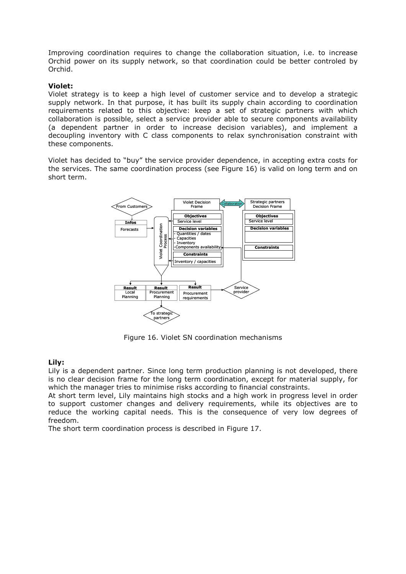Improving coordination requires to change the collaboration situation, i.e. to increase Orchid power on its supply network, so that coordination could be better controled by Orchid.

#### **Violet:**

Violet strategy is to keep a high level of customer service and to develop a strategic supply network. In that purpose, it has built its supply chain according to coordination requirements related to this objective: keep a set of strategic partners with which collaboration is possible, select a service provider able to secure components availability (a dependent partner in order to increase decision variables), and implement a decoupling inventory with C class components to relax synchronisation constraint with these components.

Violet has decided to "buy" the service provider dependence, in accepting extra costs for the services. The same coordination process (see Figure 16) is valid on long term and on short term.



Figure 16. Violet SN coordination mechanisms

## **Lily:**

Lily is a dependent partner. Since long term production planning is not developed, there is no clear decision frame for the long term coordination, except for material supply, for which the manager tries to minimise risks according to financial constraints.

At short term level, Lily maintains high stocks and a high work in progress level in order to support customer changes and delivery requirements, while its objectives are to reduce the working capital needs. This is the consequence of very low degrees of freedom.

The short term coordination process is described in Figure 17.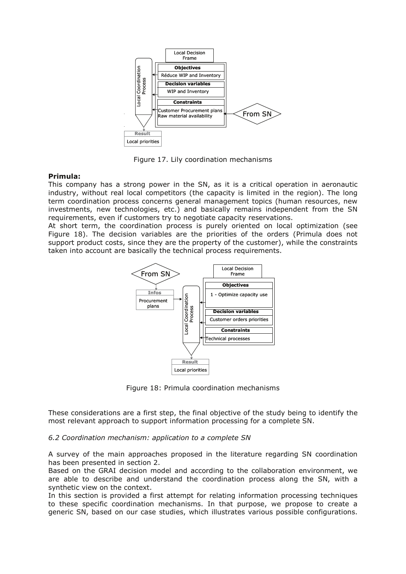

Figure 17. Lily coordination mechanisms

## **Primula:**

This company has a strong power in the SN, as it is a critical operation in aeronautic industry, without real local competitors (the capacity is limited in the region). The long term coordination process concerns general management topics (human resources, new investments, new technologies, etc.) and basically remains independent from the SN requirements, even if customers try to negotiate capacity reservations.

At short term, the coordination process is purely oriented on local optimization (see Figure 18). The decision variables are the priorities of the orders (Primula does not support product costs, since they are the property of the customer), while the constraints taken into account are basically the technical process requirements.



Figure 18: Primula coordination mechanisms

These considerations are a first step, the final objective of the study being to identify the most relevant approach to support information processing for a complete SN.

## *6.2 Coordination mechanism: application to a complete SN*

A survey of the main approaches proposed in the literature regarding SN coordination has been presented in section 2.

Based on the GRAI decision model and according to the collaboration environment, we are able to describe and understand the coordination process along the SN, with a synthetic view on the context.

In this section is provided a first attempt for relating information processing techniques to these specific coordination mechanisms. In that purpose, we propose to create a generic SN, based on our case studies, which illustrates various possible configurations.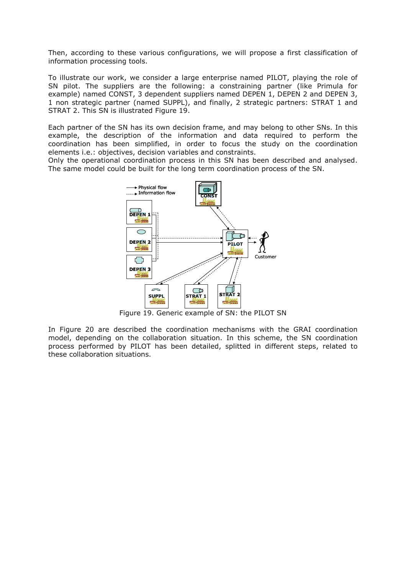Then, according to these various configurations, we will propose a first classification of information processing tools.

To illustrate our work, we consider a large enterprise named PILOT, playing the role of SN pilot. The suppliers are the following: a constraining partner (like Primula for example) named CONST, 3 dependent suppliers named DEPEN 1, DEPEN 2 and DEPEN 3, 1 non strategic partner (named SUPPL), and finally, 2 strategic partners: STRAT 1 and STRAT 2. This SN is illustrated Figure 19.

Each partner of the SN has its own decision frame, and may belong to other SNs. In this example, the description of the information and data required to perform the coordination has been simplified, in order to focus the study on the coordination elements i.e.: objectives, decision variables and constraints.

Only the operational coordination process in this SN has been described and analysed. The same model could be built for the long term coordination process of the SN.



Figure 19. Generic example of SN: the PILOT SN

In Figure 20 are described the coordination mechanisms with the GRAI coordination model, depending on the collaboration situation. In this scheme, the SN coordination process performed by PILOT has been detailed, splitted in different steps, related to these collaboration situations.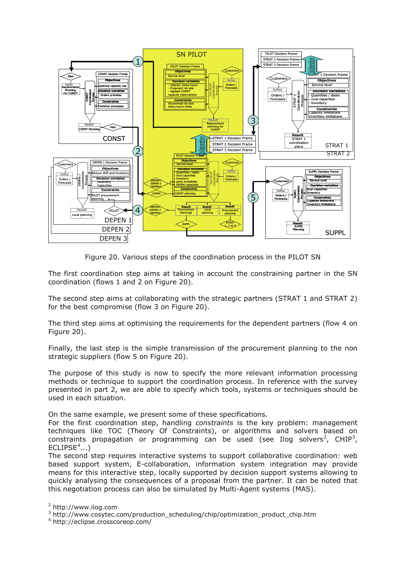

Figure 20. Various steps of the coordination process in the PILOT SN

The first coordination step aims at taking in account the constraining partner in the SN coordination (flows 1 and 2 on Figure 20).

The second step aims at collaborating with the strategic partners (STRAT 1 and STRAT 2) for the best compromise (flow 3 on Figure 20).

The third step aims at optimising the requirements for the dependent partners (flow 4 on Figure 20).

Finally, the last step is the simple transmission of the procurement planning to the non strategic suppliers (flow 5 on Figure 20).

The purpose of this study is now to specify the more relevant information processing methods or technique to support the coordination process. In reference with the survey presented in part 2, we are able to specify which tools, systems or techniques should be used in each situation.

On the same example, we present some of these specifications.

For the first coordination step, handling *constraints* is the key problem: management techniques like TOC (Theory Of Constraints), or algorithms and solvers based on constraints propagation or programming can be used (see Ilog solvers<sup>2</sup>, CHIP<sup>3</sup>,  $ECLIPSE<sup>4</sup>...$ 

The second step requires interactive systems to support collaborative coordination: web based support system, E-collaboration, information system integration may provide means for this interactive step, locally supported by decision support systems allowing to quickly analysing the consequences of a proposal from the partner. It can be noted that this negotiation process can also be simulated by Multi-Agent systems (MAS).

<sup>2</sup> http://www.ilog.com

<sup>&</sup>lt;sup>3</sup> http://www.cosytec.com/production\_scheduling/chip/optimization\_product\_chip.htm

<sup>4</sup> http://eclipse.crosscoreop.com/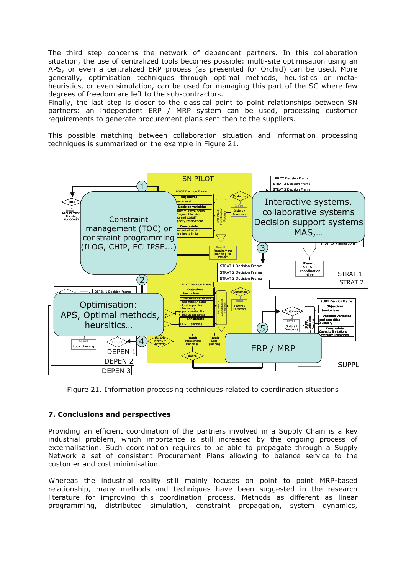The third step concerns the network of dependent partners. In this collaboration situation, the use of centralized tools becomes possible: multi-site optimisation using an APS, or even a centralized ERP process (as presented for Orchid) can be used. More generally, optimisation techniques through optimal methods, heuristics or metaheuristics, or even simulation, can be used for managing this part of the SC where few degrees of freedom are left to the sub-contractors.

Finally, the last step is closer to the classical point to point relationships between SN partners: an independent ERP / MRP system can be used, processing customer requirements to generate procurement plans sent then to the suppliers.

This possible matching between collaboration situation and information processing techniques is summarized on the example in Figure 21.



Figure 21. Information processing techniques related to coordination situations

## **7. Conclusions and perspectives**

Providing an efficient coordination of the partners involved in a Supply Chain is a key industrial problem, which importance is still increased by the ongoing process of externalisation. Such coordination requires to be able to propagate through a Supply Network a set of consistent Procurement Plans allowing to balance service to the customer and cost minimisation.

Whereas the industrial reality still mainly focuses on point to point MRP-based relationship, many methods and techniques have been suggested in the research literature for improving this coordination process. Methods as different as linear programming, distributed simulation, constraint propagation, system dynamics,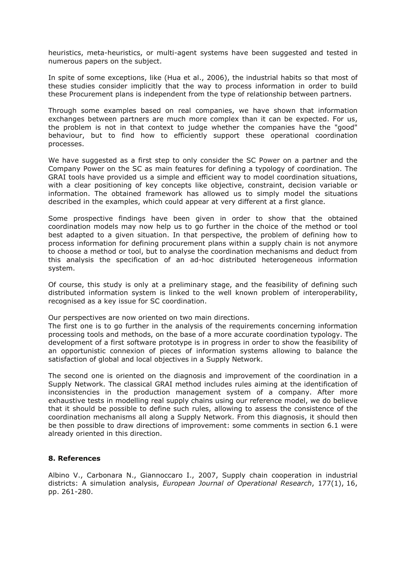heuristics, meta-heuristics, or multi-agent systems have been suggested and tested in numerous papers on the subject.

In spite of some exceptions, like (Hua et al., 2006), the industrial habits so that most of these studies consider implicitly that the way to process information in order to build these Procurement plans is independent from the type of relationship between partners.

Through some examples based on real companies, we have shown that information exchanges between partners are much more complex than it can be expected. For us, the problem is not in that context to judge whether the companies have the "good" behaviour, but to find how to efficiently support these operational coordination processes.

We have suggested as a first step to only consider the SC Power on a partner and the Company Power on the SC as main features for defining a typology of coordination. The GRAI tools have provided us a simple and efficient way to model coordination situations, with a clear positioning of key concepts like objective, constraint, decision variable or information. The obtained framework has allowed us to simply model the situations described in the examples, which could appear at very different at a first glance.

Some prospective findings have been given in order to show that the obtained coordination models may now help us to go further in the choice of the method or tool best adapted to a given situation. In that perspective, the problem of defining how to process information for defining procurement plans within a supply chain is not anymore to choose a method or tool, but to analyse the coordination mechanisms and deduct from this analysis the specification of an ad-hoc distributed heterogeneous information system.

Of course, this study is only at a preliminary stage, and the feasibility of defining such distributed information system is linked to the well known problem of interoperability, recognised as a key issue for SC coordination.

Our perspectives are now oriented on two main directions.

The first one is to go further in the analysis of the requirements concerning information processing tools and methods, on the base of a more accurate coordination typology. The development of a first software prototype is in progress in order to show the feasibility of an opportunistic connexion of pieces of information systems allowing to balance the satisfaction of global and local objectives in a Supply Network.

The second one is oriented on the diagnosis and improvement of the coordination in a Supply Network. The classical GRAI method includes rules aiming at the identification of inconsistencies in the production management system of a company. After more exhaustive tests in modelling real supply chains using our reference model, we do believe that it should be possible to define such rules, allowing to assess the consistence of the coordination mechanisms all along a Supply Network. From this diagnosis, it should then be then possible to draw directions of improvement: some comments in section 6.1 were already oriented in this direction.

#### **8. References**

Albino V., Carbonara N., Giannoccaro I., 2007, Supply chain cooperation in industrial districts: A simulation analysis, *European Journal of Operational Research*, 177(1), 16, pp. 261-280.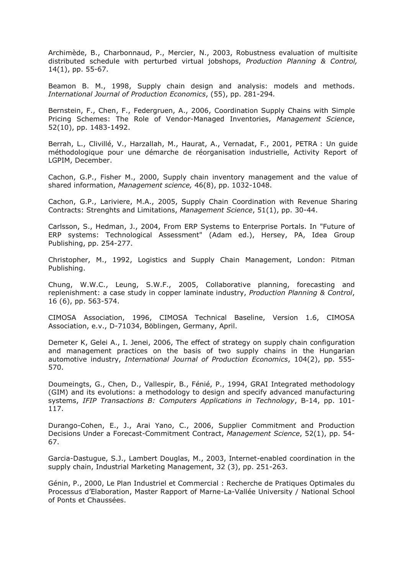Archimède, B., Charbonnaud, P., Mercier, N., 2003, Robustness evaluation of multisite distributed schedule with perturbed virtual jobshops, *Production Planning & Control,* 14(1), pp. 55-67.

Beamon B. M., 1998, Supply chain design and analysis: models and methods. *International Journal of Production Economics*, (55), pp. 281-294*.* 

Bernstein, F., Chen, F., Federgruen, A., 2006, Coordination Supply Chains with Simple Pricing Schemes: The Role of Vendor-Managed Inventories, *Management Science*, 52(10), pp. 1483-1492.

Berrah, L., Clivillé, V., Harzallah, M., Haurat, A., Vernadat, F., 2001, PETRA : Un guide méthodologique pour une démarche de réorganisation industrielle, Activity Report of LGPIM, December.

Cachon, G.P., Fisher M., 2000, Supply chain inventory management and the value of shared information, *Management science,* 46(8), pp. 1032-1048.

Cachon, G.P., Lariviere, M.A., 2005, Supply Chain Coordination with Revenue Sharing Contracts: Strenghts and Limitations, *Management Science*, 51(1), pp. 30-44.

Carlsson, S., Hedman, J., 2004, From ERP Systems to Enterprise Portals. In "Future of ERP systems: Technological Assessment" (Adam ed.), Hersey, PA, Idea Group Publishing, pp. 254-277.

Christopher, M., 1992, Logistics and Supply Chain Management, London: Pitman Publishing.

Chung, W.W.C., Leung, S.W.F., 2005, Collaborative planning, forecasting and replenishment: a case study in copper laminate industry, *Production Planning & Control*, 16 (6), pp. 563-574.

CIMOSA Association, 1996, CIMOSA Technical Baseline, Version 1.6, CIMOSA Association, e.v., D-71034, Böblingen, Germany, April.

Demeter K, Gelei A., I. Jenei, 2006, The effect of strategy on supply chain configuration and management practices on the basis of two supply chains in the Hungarian automotive industry, *International Journal of Production Economics*, 104(2), pp. 555- 570.

Doumeingts, G., Chen, D., Vallespir, B., Fénié, P., 1994, GRAI Integrated methodology (GIM) and its evolutions: a methodology to design and specify advanced manufacturing systems, *IFIP Transactions B: Computers Applications in Technology*, B-14, pp. 101- 117.

Durango-Cohen, E., J., Arai Yano, C., 2006, Supplier Commitment and Production Decisions Under a Forecast-Commitment Contract, *Management Science*, 52(1), pp. 54- 67.

Garcia-Dastugue, S.J., Lambert Douglas, M., 2003, Internet-enabled coordination in the supply chain, Industrial Marketing Management, 32 (3), pp. 251-263.

Génin, P., 2000, Le Plan Industriel et Commercial : Recherche de Pratiques Optimales du Processus d'Elaboration, Master Rapport of Marne-La-Vallée University / National School of Ponts et Chaussées.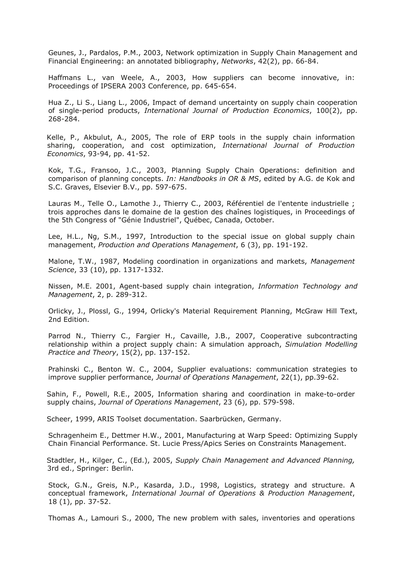Geunes, J., Pardalos, P.M., 2003, Network optimization in Supply Chain Management and Financial Engineering: an annotated bibliography, *Networks*, 42(2), pp. 66-84.

Haffmans L., van Weele, A., 2003, How suppliers can become innovative, in: Proceedings of IPSERA 2003 Conference, pp. 645-654.

Hua Z., Li S., Liang L., 2006, Impact of demand uncertainty on supply chain cooperation of single-period products, *International Journal of Production Economics*, 100(2), pp. 268-284.

Kelle, P., Akbulut, A., 2005, The role of ERP tools in the supply chain information sharing, cooperation, and cost optimization, *International Journal of Production Economics*, 93-94, pp. 41-52.

Kok, T.G., Fransoo, J.C., 2003, Planning Supply Chain Operations: definition and comparison of planning concepts. *In: Handbooks in OR & MS*, edited by A.G. de Kok and S.C. Graves, Elsevier B.V., pp. 597-675.

Lauras M., Telle O., Lamothe J., Thierry C., 2003, Référentiel de l'entente industrielle ; trois approches dans le domaine de la gestion des chaînes logistiques, in Proceedings of the 5th Congress of "Génie Industriel", Québec, Canada, October.

Lee, H.L., Ng, S.M., 1997, Introduction to the special issue on global supply chain management, *Production and Operations Management*, 6 (3), pp. 191-192.

Malone, T.W., 1987, Modeling coordination in organizations and markets, *Management Science*, 33 (10), pp. 1317-1332.

Nissen, M.E. 2001, Agent-based supply chain integration, *Information Technology and Management*, 2, p. 289-312.

Orlicky, J., Plossl, G., 1994, Orlicky's Material Requirement Planning, McGraw Hill Text, 2nd Edition.

Parrod N., Thierry C., Fargier H., Cavaille, J.B., 2007, Cooperative subcontracting relationship within a project supply chain: A simulation approach, *Simulation Modelling Practice and Theory*, 15(2), pp. 137-152.

Prahinski C., Benton W. C., 2004, Supplier evaluations: communication strategies to improve supplier performance, *Journal of Operations Management*, 22(1), pp.39-62.

Sahin, F., Powell, R.E., 2005, Information sharing and coordination in make-to-order supply chains, *Journal of Operations Management*, 23 (6), pp. 579-598.

Scheer, 1999, ARIS Toolset documentation. Saarbrücken, Germany.

Schragenheim E., Dettmer H.W., 2001, Manufacturing at Warp Speed: Optimizing Supply Chain Financial Performance. St. Lucie Press/Apics Series on Constraints Management.

Stadtler, H., Kilger, C., (Ed.), 2005, *Supply Chain Management and Advanced Planning,*  3rd ed., Springer: Berlin.

Stock, G.N., Greis, N.P., Kasarda, J.D., 1998, Logistics, strategy and structure. A conceptual framework, *International Journal of Operations & Production Management*, 18 (1), pp. 37-52.

Thomas A., Lamouri S., 2000, The new problem with sales, inventories and operations